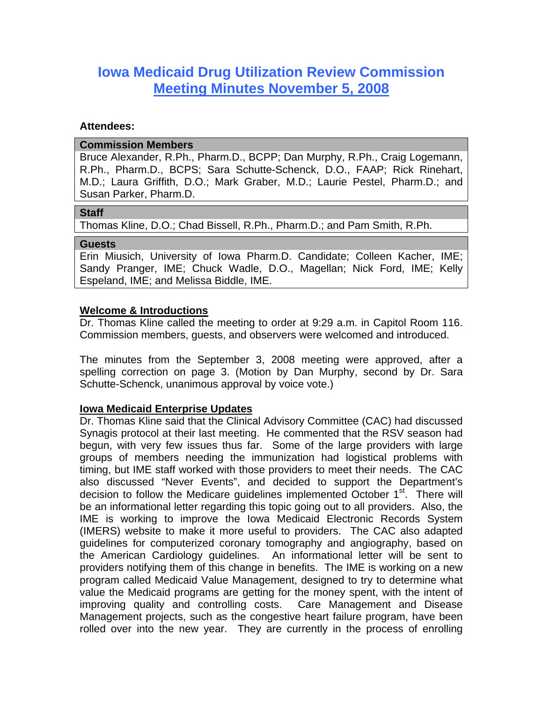# **Iowa Medicaid Drug Utilization Review Commission Meeting Minutes November 5, 2008**

#### **Attendees:**

#### **Commission Members**

Bruce Alexander, R.Ph., Pharm.D., BCPP; Dan Murphy, R.Ph., Craig Logemann, R.Ph., Pharm.D., BCPS; Sara Schutte-Schenck, D.O., FAAP; Rick Rinehart, M.D.; Laura Griffith, D.O.; Mark Graber, M.D.; Laurie Pestel, Pharm.D.; and Susan Parker, Pharm.D.

#### **Staff**

Thomas Kline, D.O.; Chad Bissell, R.Ph., Pharm.D.; and Pam Smith, R.Ph.

#### **Guests**

Erin Miusich, University of Iowa Pharm.D. Candidate; Colleen Kacher, IME; Sandy Pranger, IME; Chuck Wadle, D.O., Magellan; Nick Ford, IME; Kelly Espeland, IME; and Melissa Biddle, IME.

#### **Welcome & Introductions**

Dr. Thomas Kline called the meeting to order at 9:29 a.m. in Capitol Room 116. Commission members, guests, and observers were welcomed and introduced.

The minutes from the September 3, 2008 meeting were approved, after a spelling correction on page 3. (Motion by Dan Murphy, second by Dr. Sara Schutte-Schenck, unanimous approval by voice vote.)

## **Iowa Medicaid Enterprise Updates**

Dr. Thomas Kline said that the Clinical Advisory Committee (CAC) had discussed Synagis protocol at their last meeting. He commented that the RSV season had begun, with very few issues thus far. Some of the large providers with large groups of members needing the immunization had logistical problems with timing, but IME staff worked with those providers to meet their needs. The CAC also discussed "Never Events", and decided to support the Department's decision to follow the Medicare guidelines implemented October 1<sup>st</sup>. There will be an informational letter regarding this topic going out to all providers. Also, the IME is working to improve the Iowa Medicaid Electronic Records System (IMERS) website to make it more useful to providers. The CAC also adapted guidelines for computerized coronary tomography and angiography, based on the American Cardiology guidelines. An informational letter will be sent to providers notifying them of this change in benefits. The IME is working on a new program called Medicaid Value Management, designed to try to determine what value the Medicaid programs are getting for the money spent, with the intent of improving quality and controlling costs. Care Management and Disease Management projects, such as the congestive heart failure program, have been rolled over into the new year. They are currently in the process of enrolling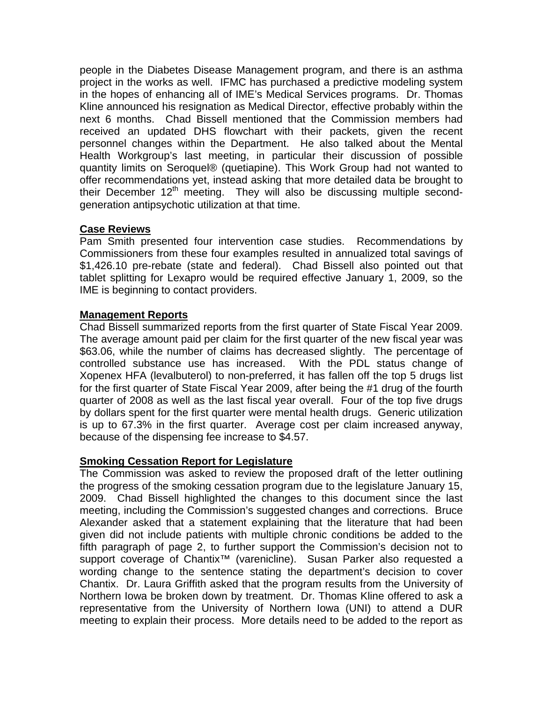people in the Diabetes Disease Management program, and there is an asthma project in the works as well. IFMC has purchased a predictive modeling system in the hopes of enhancing all of IME's Medical Services programs. Dr. Thomas Kline announced his resignation as Medical Director, effective probably within the next 6 months. Chad Bissell mentioned that the Commission members had received an updated DHS flowchart with their packets, given the recent personnel changes within the Department. He also talked about the Mental Health Workgroup's last meeting, in particular their discussion of possible quantity limits on Seroquel® (quetiapine). This Work Group had not wanted to offer recommendations yet, instead asking that more detailed data be brought to their December  $12<sup>th</sup>$  meeting. They will also be discussing multiple secondgeneration antipsychotic utilization at that time.

# **Case Reviews**

Pam Smith presented four intervention case studies. Recommendations by Commissioners from these four examples resulted in annualized total savings of \$1,426.10 pre-rebate (state and federal). Chad Bissell also pointed out that tablet splitting for Lexapro would be required effective January 1, 2009, so the IME is beginning to contact providers.

# **Management Reports**

Chad Bissell summarized reports from the first quarter of State Fiscal Year 2009. The average amount paid per claim for the first quarter of the new fiscal year was \$63.06, while the number of claims has decreased slightly. The percentage of controlled substance use has increased. With the PDL status change of Xopenex HFA (levalbuterol) to non-preferred, it has fallen off the top 5 drugs list for the first quarter of State Fiscal Year 2009, after being the #1 drug of the fourth quarter of 2008 as well as the last fiscal year overall. Four of the top five drugs by dollars spent for the first quarter were mental health drugs. Generic utilization is up to 67.3% in the first quarter. Average cost per claim increased anyway, because of the dispensing fee increase to \$4.57.

## **Smoking Cessation Report for Legislature**

The Commission was asked to review the proposed draft of the letter outlining the progress of the smoking cessation program due to the legislature January 15, 2009. Chad Bissell highlighted the changes to this document since the last meeting, including the Commission's suggested changes and corrections. Bruce Alexander asked that a statement explaining that the literature that had been given did not include patients with multiple chronic conditions be added to the fifth paragraph of page 2, to further support the Commission's decision not to support coverage of Chantix<sup>™</sup> (varenicline). Susan Parker also requested a wording change to the sentence stating the department's decision to cover Chantix. Dr. Laura Griffith asked that the program results from the University of Northern Iowa be broken down by treatment. Dr. Thomas Kline offered to ask a representative from the University of Northern Iowa (UNI) to attend a DUR meeting to explain their process. More details need to be added to the report as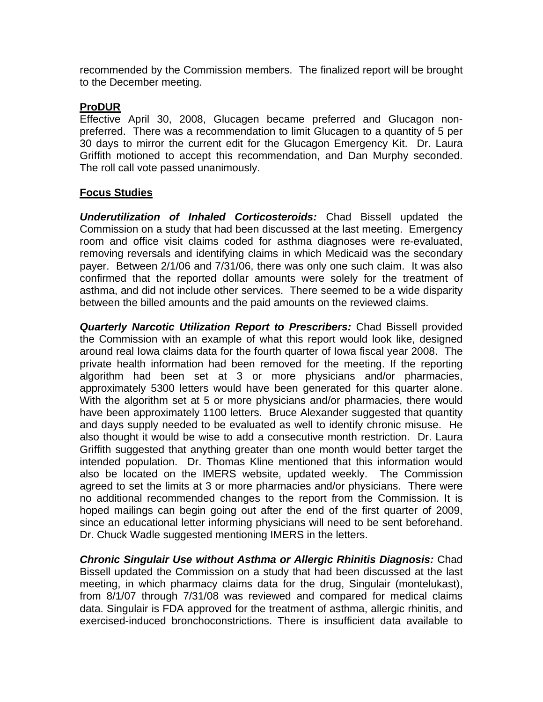recommended by the Commission members. The finalized report will be brought to the December meeting.

#### **ProDUR**

Effective April 30, 2008, Glucagen became preferred and Glucagon nonpreferred. There was a recommendation to limit Glucagen to a quantity of 5 per 30 days to mirror the current edit for the Glucagon Emergency Kit. Dr. Laura Griffith motioned to accept this recommendation, and Dan Murphy seconded. The roll call vote passed unanimously.

## **Focus Studies**

*Underutilization of Inhaled Corticosteroids:* Chad Bissell updated the Commission on a study that had been discussed at the last meeting. Emergency room and office visit claims coded for asthma diagnoses were re-evaluated, removing reversals and identifying claims in which Medicaid was the secondary payer. Between 2/1/06 and 7/31/06, there was only one such claim. It was also confirmed that the reported dollar amounts were solely for the treatment of asthma, and did not include other services. There seemed to be a wide disparity between the billed amounts and the paid amounts on the reviewed claims.

*Quarterly Narcotic Utilization Report to Prescribers:* Chad Bissell provided the Commission with an example of what this report would look like, designed around real Iowa claims data for the fourth quarter of Iowa fiscal year 2008. The private health information had been removed for the meeting. If the reporting algorithm had been set at 3 or more physicians and/or pharmacies, approximately 5300 letters would have been generated for this quarter alone. With the algorithm set at 5 or more physicians and/or pharmacies, there would have been approximately 1100 letters. Bruce Alexander suggested that quantity and days supply needed to be evaluated as well to identify chronic misuse. He also thought it would be wise to add a consecutive month restriction. Dr. Laura Griffith suggested that anything greater than one month would better target the intended population. Dr. Thomas Kline mentioned that this information would also be located on the IMERS website, updated weekly. The Commission agreed to set the limits at 3 or more pharmacies and/or physicians. There were no additional recommended changes to the report from the Commission. It is hoped mailings can begin going out after the end of the first quarter of 2009, since an educational letter informing physicians will need to be sent beforehand. Dr. Chuck Wadle suggested mentioning IMERS in the letters.

*Chronic Singulair Use without Asthma or Allergic Rhinitis Diagnosis:* Chad Bissell updated the Commission on a study that had been discussed at the last meeting, in which pharmacy claims data for the drug, Singulair (montelukast), from 8/1/07 through 7/31/08 was reviewed and compared for medical claims data. Singulair is FDA approved for the treatment of asthma, allergic rhinitis, and exercised-induced bronchoconstrictions. There is insufficient data available to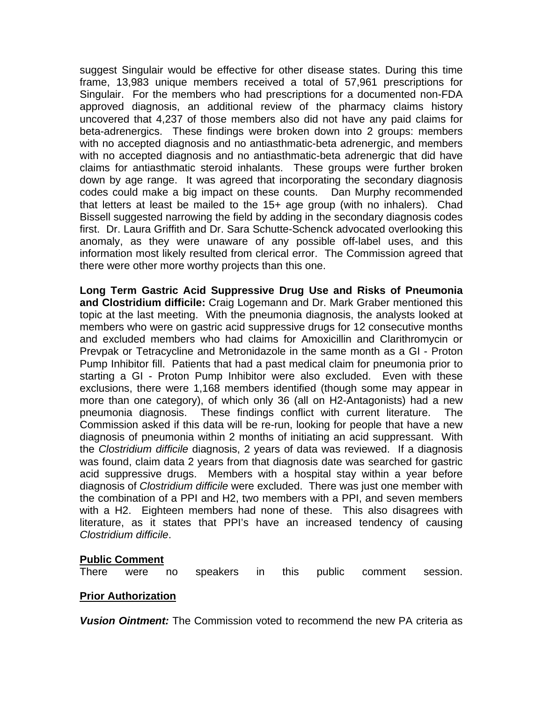suggest Singulair would be effective for other disease states. During this time frame, 13,983 unique members received a total of 57,961 prescriptions for Singulair. For the members who had prescriptions for a documented non-FDA approved diagnosis, an additional review of the pharmacy claims history uncovered that 4,237 of those members also did not have any paid claims for beta-adrenergics. These findings were broken down into 2 groups: members with no accepted diagnosis and no antiasthmatic-beta adrenergic, and members with no accepted diagnosis and no antiasthmatic-beta adrenergic that did have claims for antiasthmatic steroid inhalants. These groups were further broken down by age range. It was agreed that incorporating the secondary diagnosis codes could make a big impact on these counts. Dan Murphy recommended that letters at least be mailed to the 15+ age group (with no inhalers). Chad Bissell suggested narrowing the field by adding in the secondary diagnosis codes first. Dr. Laura Griffith and Dr. Sara Schutte-Schenck advocated overlooking this anomaly, as they were unaware of any possible off-label uses, and this information most likely resulted from clerical error. The Commission agreed that there were other more worthy projects than this one.

**Long Term Gastric Acid Suppressive Drug Use and Risks of Pneumonia and Clostridium difficile:** Craig Logemann and Dr. Mark Graber mentioned this topic at the last meeting. With the pneumonia diagnosis, the analysts looked at members who were on gastric acid suppressive drugs for 12 consecutive months and excluded members who had claims for Amoxicillin and Clarithromycin or Prevpak or Tetracycline and Metronidazole in the same month as a GI - Proton Pump Inhibitor fill. Patients that had a past medical claim for pneumonia prior to starting a GI - Proton Pump Inhibitor were also excluded. Even with these exclusions, there were 1,168 members identified (though some may appear in more than one category), of which only 36 (all on H2-Antagonists) had a new pneumonia diagnosis. These findings conflict with current literature. The Commission asked if this data will be re-run, looking for people that have a new diagnosis of pneumonia within 2 months of initiating an acid suppressant. With the *Clostridium difficile* diagnosis, 2 years of data was reviewed. If a diagnosis was found, claim data 2 years from that diagnosis date was searched for gastric acid suppressive drugs. Members with a hospital stay within a year before diagnosis of *Clostridium difficile* were excluded. There was just one member with the combination of a PPI and H2, two members with a PPI, and seven members with a H2. Eighteen members had none of these. This also disagrees with literature, as it states that PPI's have an increased tendency of causing *Clostridium difficile*.

## **Public Comment**

There were no speakers in this public comment session.

## **Prior Authorization**

*Vusion Ointment:* The Commission voted to recommend the new PA criteria as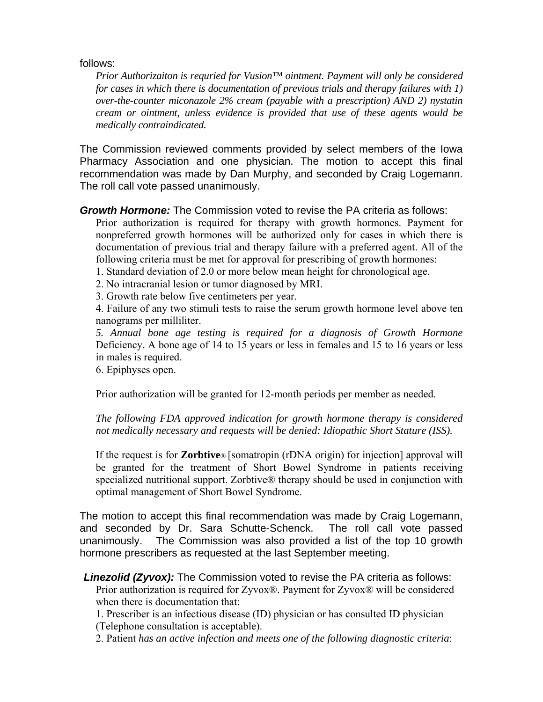follows:

*Prior Authorizaiton is requried for Vusion™ ointment. Payment will only be considered for cases in which there is documentation of previous trials and therapy failures with 1) over-the-counter miconazole 2% cream (payable with a prescription) AND 2) nystatin cream or ointment, unless evidence is provided that use of these agents would be medically contraindicated.* 

The Commission reviewed comments provided by select members of the Iowa Pharmacy Association and one physician. The motion to accept this final recommendation was made by Dan Murphy, and seconded by Craig Logemann. The roll call vote passed unanimously.

## *Growth Hormone:* The Commission voted to revise the PA criteria as follows:

Prior authorization is required for therapy with growth hormones. Payment for nonpreferred growth hormones will be authorized only for cases in which there is documentation of previous trial and therapy failure with a preferred agent. All of the following criteria must be met for approval for prescribing of growth hormones:

1. Standard deviation of 2.0 or more below mean height for chronological age.

2. No intracranial lesion or tumor diagnosed by MRI.

3. Growth rate below five centimeters per year.

4. Failure of any two stimuli tests to raise the serum growth hormone level above ten nanograms per milliliter.

*5. Annual bone age testing is required for a diagnosis of Growth Hormone*  Deficiency. A bone age of 14 to 15 years or less in females and 15 to 16 years or less in males is required.

6. Epiphyses open.

Prior authorization will be granted for 12-month periods per member as needed.

*The following FDA approved indication for growth hormone therapy is considered not medically necessary and requests will be denied: Idiopathic Short Stature (ISS).* 

If the request is for **Zorbtive**® [somatropin (rDNA origin) for injection] approval will be granted for the treatment of Short Bowel Syndrome in patients receiving specialized nutritional support. Zorbtive® therapy should be used in conjunction with optimal management of Short Bowel Syndrome.

The motion to accept this final recommendation was made by Craig Logemann, and seconded by Dr. Sara Schutte-Schenck. The roll call vote passed unanimously. The Commission was also provided a list of the top 10 growth hormone prescribers as requested at the last September meeting.

## *Linezolid (Zyvox):* The Commission voted to revise the PA criteria as follows:

Prior authorization is required for Zyvox®. Payment for Zyvox® will be considered when there is documentation that:

1. Prescriber is an infectious disease (ID) physician or has consulted ID physician (Telephone consultation is acceptable).

2. Patient *has an active infection and meets one of the following diagnostic criteria*: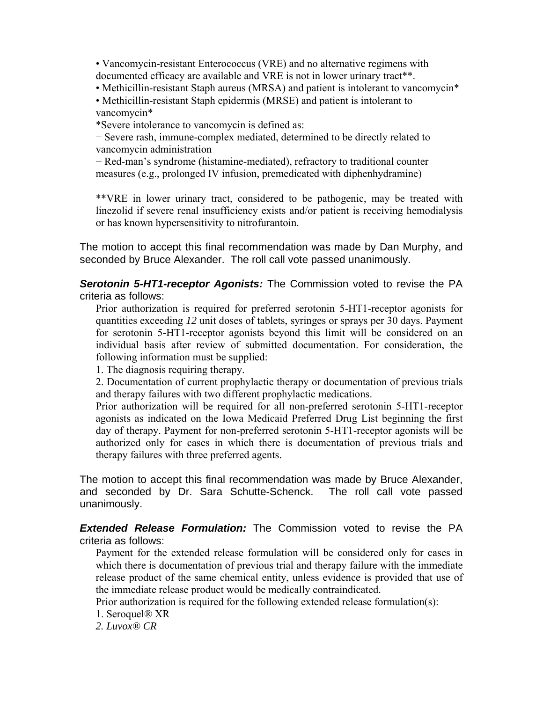• Vancomycin-resistant Enterococcus (VRE) and no alternative regimens with documented efficacy are available and VRE is not in lower urinary tract\*\*.

• Methicillin-resistant Staph aureus (MRSA) and patient is intolerant to vancomycin<sup>\*</sup>

• Methicillin-resistant Staph epidermis (MRSE) and patient is intolerant to vancomycin\*

\*Severe intolerance to vancomycin is defined as:

− Severe rash, immune-complex mediated, determined to be directly related to vancomycin administration

− Red-man's syndrome (histamine-mediated), refractory to traditional counter measures (e.g., prolonged IV infusion, premedicated with diphenhydramine)

\*\*VRE in lower urinary tract, considered to be pathogenic, may be treated with linezolid if severe renal insufficiency exists and/or patient is receiving hemodialysis or has known hypersensitivity to nitrofurantoin.

The motion to accept this final recommendation was made by Dan Murphy, and seconded by Bruce Alexander. The roll call vote passed unanimously.

*Serotonin 5-HT1-receptor Agonists:* The Commission voted to revise the PA criteria as follows:

Prior authorization is required for preferred serotonin 5-HT1-receptor agonists for quantities exceeding *12* unit doses of tablets, syringes or sprays per 30 days. Payment for serotonin 5-HT1-receptor agonists beyond this limit will be considered on an individual basis after review of submitted documentation. For consideration, the following information must be supplied:

1. The diagnosis requiring therapy.

2. Documentation of current prophylactic therapy or documentation of previous trials and therapy failures with two different prophylactic medications.

Prior authorization will be required for all non-preferred serotonin 5-HT1-receptor agonists as indicated on the Iowa Medicaid Preferred Drug List beginning the first day of therapy. Payment for non-preferred serotonin 5-HT1-receptor agonists will be authorized only for cases in which there is documentation of previous trials and therapy failures with three preferred agents.

The motion to accept this final recommendation was made by Bruce Alexander, and seconded by Dr. Sara Schutte-Schenck. The roll call vote passed unanimously.

*Extended Release Formulation:* The Commission voted to revise the PA criteria as follows:

Payment for the extended release formulation will be considered only for cases in which there is documentation of previous trial and therapy failure with the immediate release product of the same chemical entity, unless evidence is provided that use of the immediate release product would be medically contraindicated.

Prior authorization is required for the following extended release formulation(s):

1. Seroquel® XR

*2. Luvox® CR*